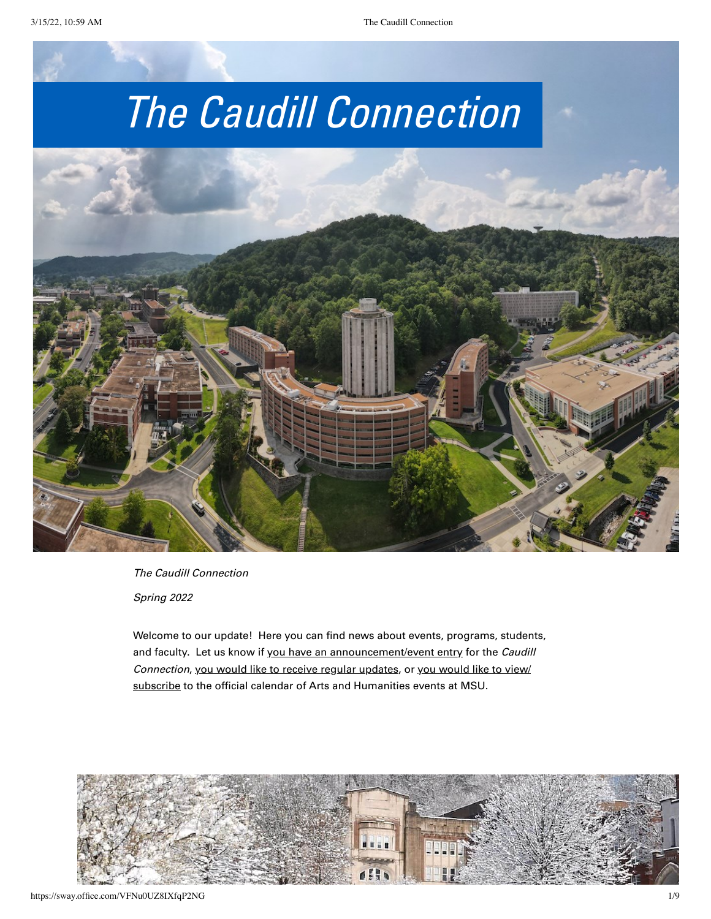

The Caudill Connection

Spring 2022

Welcome to our update! Here you can find news about events, programs, students, and faculty. Let us know if [you have an announcement/event entry](https://forms.office.com/r/FzpmpH5pF6) for the Caudill Connection, [you would like to receive regular updates](https://forms.office.com/r/sHaarsSS6u), or you would like to view/ [subscribe to the official calendar of Arts and Humanities events at MSU.](https://forms.office.com/r/sHaarsSS6u)

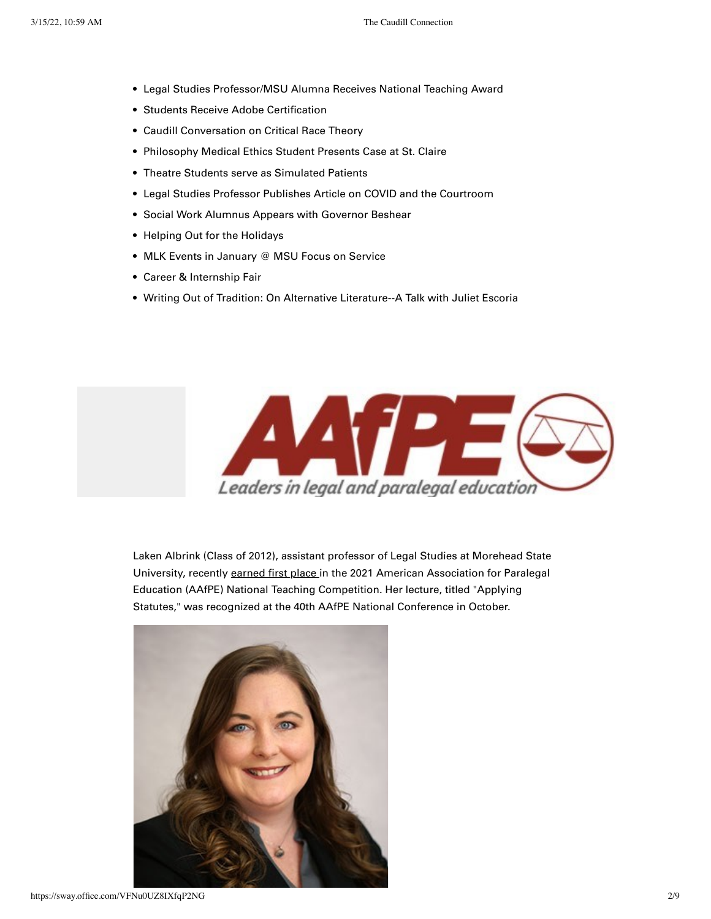- Legal Studies Professor/MSU Alumna Receives National Teaching Award •
- Students Receive Adobe Certification •
- Caudill Conversation on Critical Race Theory •
- Philosophy Medical Ethics Student Presents Case at St. Claire
- Theatre Students serve as Simulated Patients •
- Legal Studies Professor Publishes Article on COVID and the Courtroom •
- **Social Work Alumnus Appears with Governor Beshear**
- Helping Out for the Holidays
- MLK Events in January @ MSU Focus on Service •
- Career & Internship Fair •
- Writing Out of Tradition: On Alternative Literature--A Talk with Juliet Escoria



Laken Albrink (Class of 2012), assistant professor of Legal Studies at Morehead State University, recently [earned first place](https://www.moreheadstate.edu/news/2021/december/msu-legal-studies-professor-laken%C2%A0albrink-earns-fi) in the 2021 American Association for Paralegal Education (AAfPE) National Teaching Competition. Her lecture, titled "Applying Statutes," was recognized at the 40th AAfPE National Conference in October.

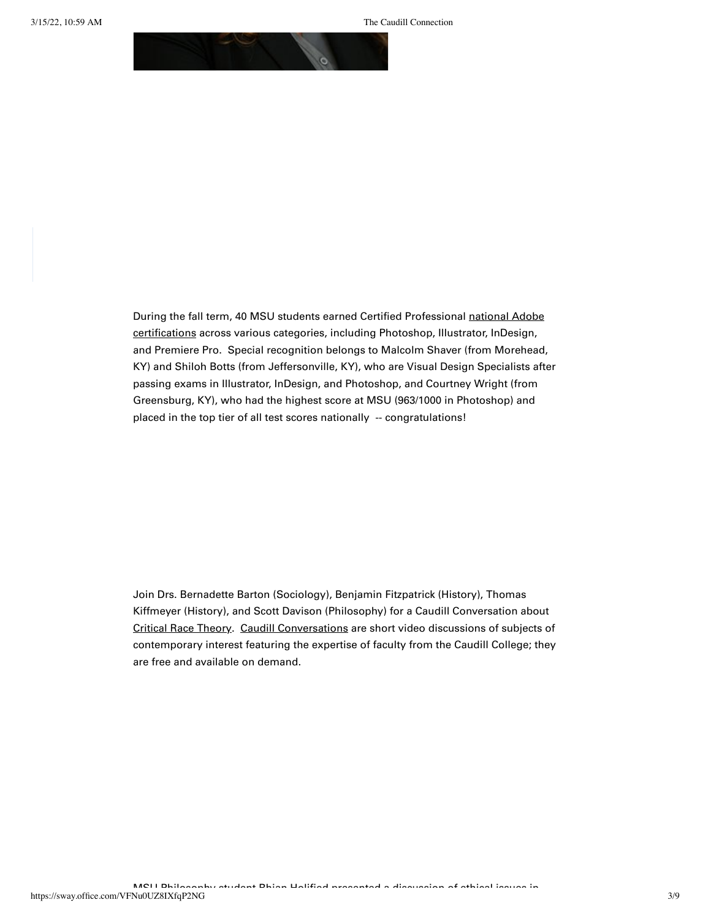

[During the fall term, 40 MSU students earned Certified Professional national Adobe](https://learning.adobe.com/certification.html) certifications across various categories, including Photoshop, Illustrator, InDesign, and Premiere Pro. Special recognition belongs to Malcolm Shaver (from Morehead, KY) and Shiloh Botts (from Jeffersonville, KY), who are Visual Design Specialists after passing exams in Illustrator, InDesign, and Photoshop, and Courtney Wright (from Greensburg, KY), who had the highest score at MSU (963/1000 in Photoshop) and placed in the top tier of all test scores nationally -- congratulations!

Join Drs. Bernadette Barton (Sociology), Benjamin Fitzpatrick (History), Thomas Kiffmeyer (History), and Scott Davison (Philosophy) for a Caudill Conversation about [Critical Race Theory.](https://scholarworks.moreheadstate.edu/caudill_conversations/7/) [Caudill Conversations](https://scholarworks.moreheadstate.edu/caudill_conversations/) are short video discussions of subjects of contemporary interest featuring the expertise of faculty from the Caudill College; they are free and available on demand.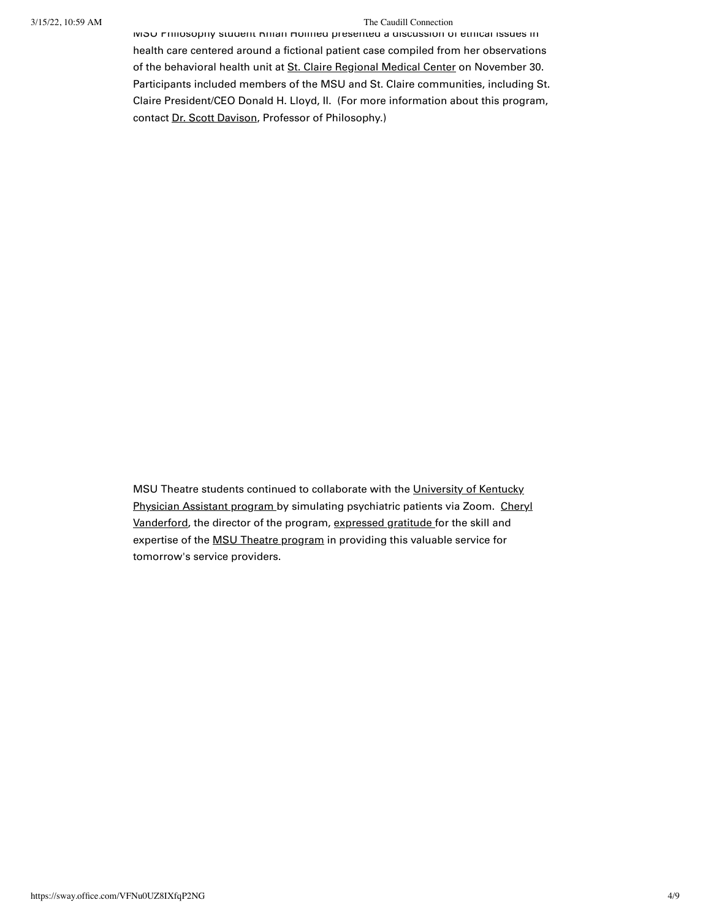## 3/15/22, 10:59 AM The Caudill Connection

MSU Philosophy student Rhian Holified presented a discussion of ethical issues in health care centered around a fictional patient case compiled from her observations of the behavioral health unit at [St. Claire Regional Medical Center](https://www.st-claire.org/) on November 30. Participants included members of the MSU and St. Claire communities, including St. Claire President/CEO Donald H. Lloyd, II. (For more information about this program, contact [Dr. Scott Davison,](https://www.moreheadstate.edu/caudill-college-of-arts,-humanities-and-social-sci/history,-philosophy,-international-studies-and-leg/faculty-and-staff/davison,-scott) Professor of Philosophy.)

[MSU Theatre students continued to collaborate with the University of Kentucky](https://www.uky.edu/chs/physician-assistant-studies) [Physician Assistant program by simulating psychiatric patients via Zoom. Cheryl](https://www.uky.edu/chs/cefrit2) Vanderford, the director of the program, [expressed gratitude f](https://www.uky.edu/chs/about/news/uk-pa-program-collaborates-morehead-state-university-theatre-program-practice-psychiatric)or the skill and expertise of the **MSU** Theatre program in providing this valuable service for tomorrow's service providers.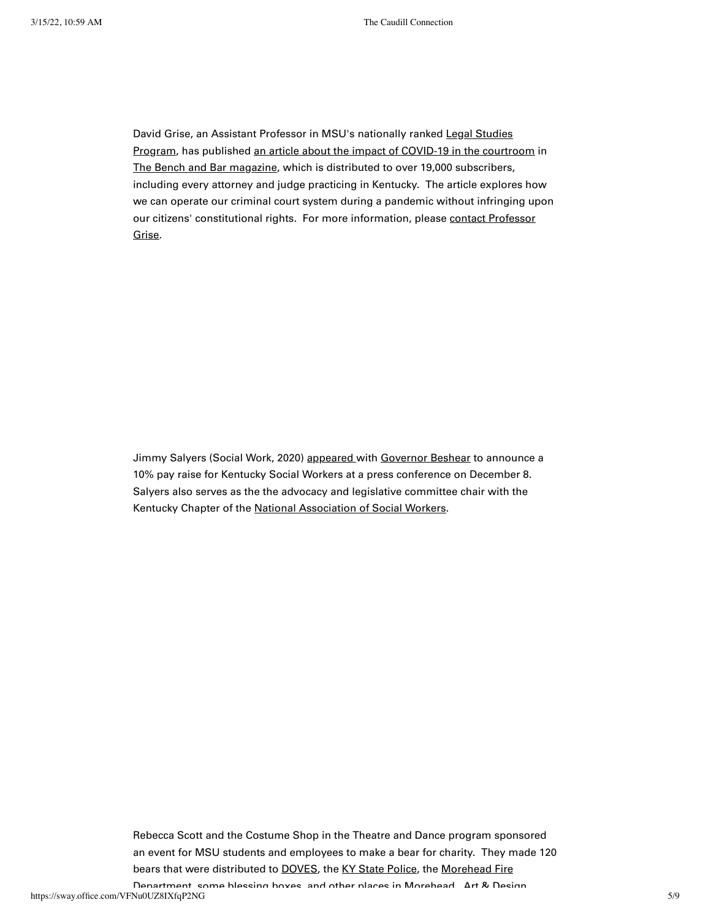David Grise, an Assistant Professor in MSU's nationally ranked Legal Studies [Program, has published an article about the impact of COVID-19 in the courtr](https://www.moreheadstate.edu/study/legalstudies)[oom](https://lsc-pagepro.mydigitalpublication.com/publication/?m=60486&i=728969&p=12&ver=html5) in [The Bench and Bar magazine,](https://www.kybar.org/page/BB/Bench--Bar-Magazine.htm) which is distributed to over 19,000 subscribers, including every attorney and judge practicing in Kentucky. The article explores how we can operate our criminal court system during a pandemic without infringing upon [our citizens' constitutional rights. For more information, please contact Professor](mailto:dpgrise@moreheadstate.edu) Grise.

Jimmy Salyers (Social Work, 2020) [appeared w](https://kentucky.gov/Pages/Activity-stream.aspx?n=GovernorBeshear&prId=1089&fbclid=IwAR0S4x4qAeV5f0oKItyCYE7ytJ5dN9GWP0b65PE99ciP_GCgzFljohATJJs)ith [Governor Beshear](https://governor.ky.gov/) to announce a 10% pay raise for Kentucky Social Workers at a press conference on December 8. Salyers also serves as the the advocacy and legislative committee chair with the Kentucky Chapter of the [National Association of Social Workers](https://naswky.socialworkers.org/).

Rebecca Scott and the Costume Shop in the Theatre and Dance program sponsored an event for MSU students and employees to make a bear for charity. They made 120 [bears that were distributed to D](https://www.facebook.com/MoreheadFireDept)[OVE](https://dovesofgateway.org/)[S, the](https://www.facebook.com/MoreheadFireDept) [KY State Police](http://kentuckystatepolice.org/)[, the Morehead Fire](https://www.facebook.com/MoreheadFireDept)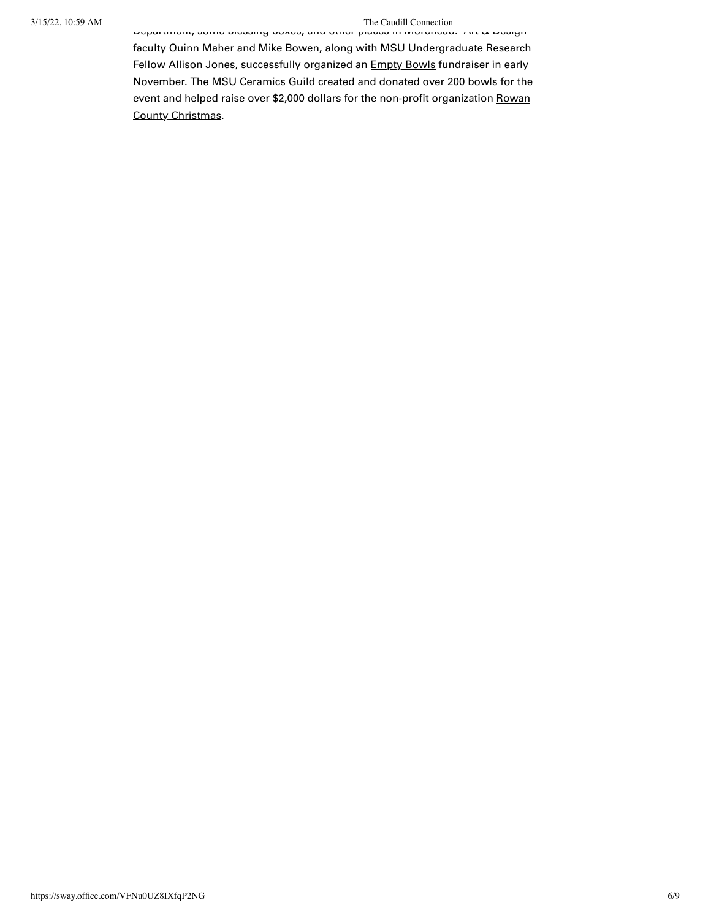## 3/15/22, 10:59 AM The Caudill Connection

[Department, some blessing boxes, and other places in Morehead. Art & Desi](https://www.facebook.com/MoreheadFireDept)gn

faculty Quinn Maher and Mike Bowen, along with MSU Undergraduate Research Fellow Allison Jones, successfully organized an **Empty Bowls** fundraiser in early November. [The MSU Ceramics Guild](https://www.facebook.com/groups/225273790854806/) created and donated over 200 bowls for the [event and helped raise over \\$2,000 dollars for the non-profit organization Rowan](https://www.rowancountychristmas.org/) County Christmas.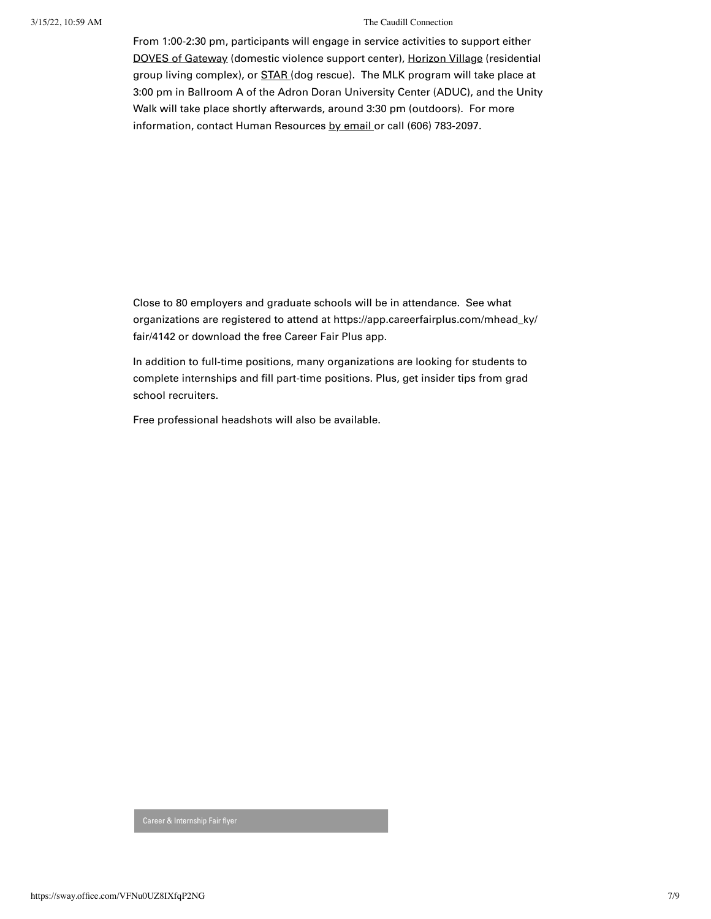## 3/15/22, 10:59 AM The Caudill Connection

From 1:00-2:30 pm, participants will engage in service activities to support either [DOVES of Gateway](https://dovesofgateway.org/) (domestic violence support center), [Horizon Village](https://www.caring.com/senior-living/kentucky/morehead/horizon-village-pathways-inc-40351) (residential group living complex), or **STAR** (dog rescue). The MLK program will take place at 3:00 pm in Ballroom A of the Adron Doran University Center (ADUC), and the Unity Walk will take place shortly afterwards, around 3:30 pm (outdoors). For more information, contact Human Resources [by email](mailto:humanresources@moreheadstate.edu) or call (606) 783-2097.

Close to 80 employers and graduate schools will be in attendance. See what organizations are registered to attend at https://app.careerfairplus.com/mhead\_ky/ fair/4142 or download the free Career Fair Plus app.

In addition to full-time positions, many organizations are looking for students to complete internships and fill part-time positions. Plus, get insider tips from grad school recruiters.

Free professional headshots will also be available.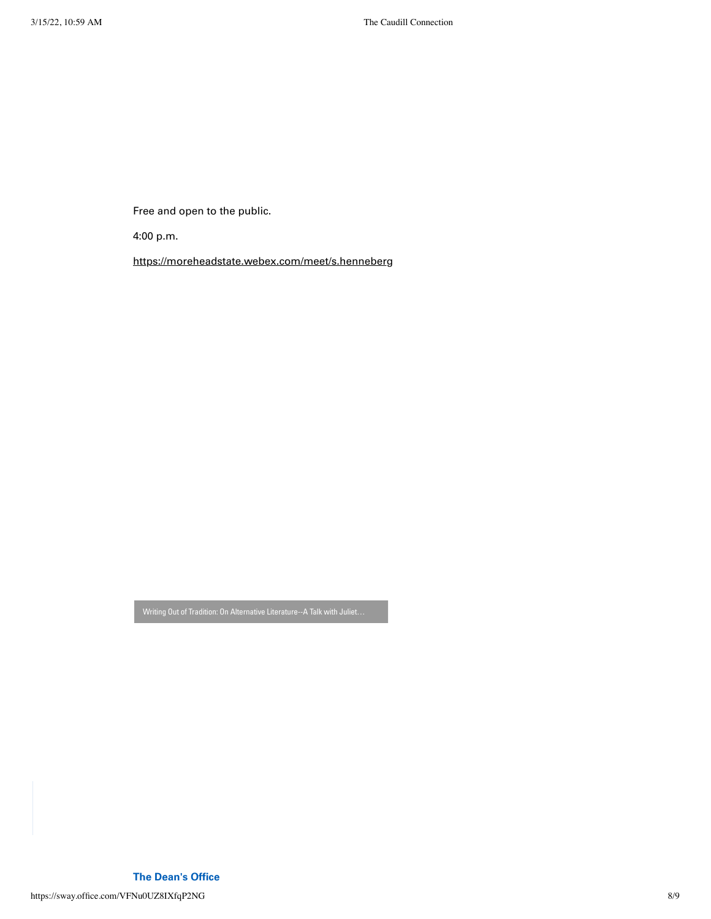Free and open to the public.

4:00 p.m.

<https://moreheadstate.webex.com/meet/s.henneberg>

https://sway.office.com/VFNu0UZ8IXfqP2NG 8/9 **The Dean's Office**